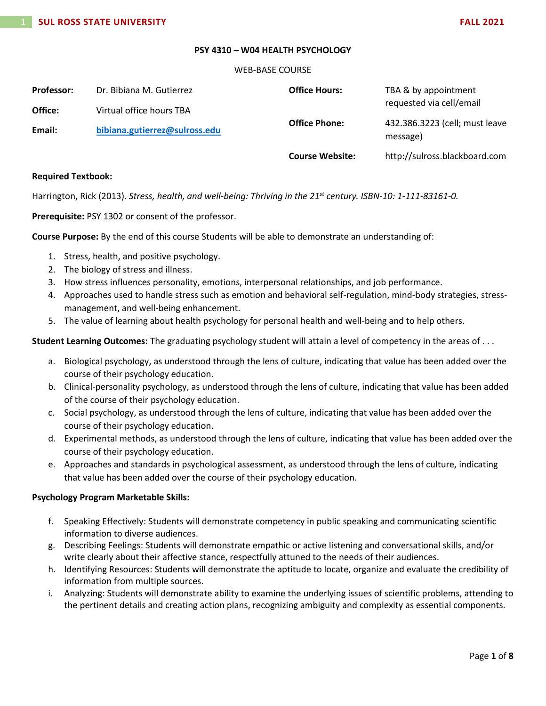### **PSY 4310 – W04 HEALTH PSYCHOLOGY**

#### WEB-BASE COURSE

| <b>Professor:</b> | Dr. Bibiana M. Gutierrez      | <b>Office Hours:</b>   | TBA & by appointment                       |
|-------------------|-------------------------------|------------------------|--------------------------------------------|
| Office:           | Virtual office hours TBA      |                        | requested via cell/email                   |
| Email:            | bibiana.gutierrez@sulross.edu | <b>Office Phone:</b>   | 432.386.3223 (cell; must leave<br>message) |
|                   |                               | <b>Course Website:</b> | http://sulross.blackboard.com              |

### **Required Textbook:**

Harrington, Rick (2013). *Stress, health, and well-being: Thriving in the 21st century. ISBN-10: 1-111-83161-0.*

**Prerequisite:** PSY 1302 or consent of the professor.

**Course Purpose:** By the end of this course Students will be able to demonstrate an understanding of:

- 1. Stress, health, and positive psychology.
- 2. The biology of stress and illness.
- 3. How stress influences personality, emotions, interpersonal relationships, and job performance.
- 4. Approaches used to handle stress such as emotion and behavioral self-regulation, mind-body strategies, stressmanagement, and well-being enhancement.
- 5. The value of learning about health psychology for personal health and well-being and to help others.

**Student Learning Outcomes:** The graduating psychology student will attain a level of competency in the areas of . . .

- a. Biological psychology, as understood through the lens of culture, indicating that value has been added over the course of their psychology education.
- b. Clinical-personality psychology, as understood through the lens of culture, indicating that value has been added of the course of their psychology education.
- c. Social psychology, as understood through the lens of culture, indicating that value has been added over the course of their psychology education.
- d. Experimental methods, as understood through the lens of culture, indicating that value has been added over the course of their psychology education.
- e. Approaches and standards in psychological assessment, as understood through the lens of culture, indicating that value has been added over the course of their psychology education.

# **Psychology Program Marketable Skills:**

- f. Speaking Effectively: Students will demonstrate competency in public speaking and communicating scientific information to diverse audiences.
- g. Describing Feelings: Students will demonstrate empathic or active listening and conversational skills, and/or write clearly about their affective stance, respectfully attuned to the needs of their audiences.
- h. Identifying Resources: Students will demonstrate the aptitude to locate, organize and evaluate the credibility of information from multiple sources.
- i. Analyzing: Students will demonstrate ability to examine the underlying issues of scientific problems, attending to the pertinent details and creating action plans, recognizing ambiguity and complexity as essential components.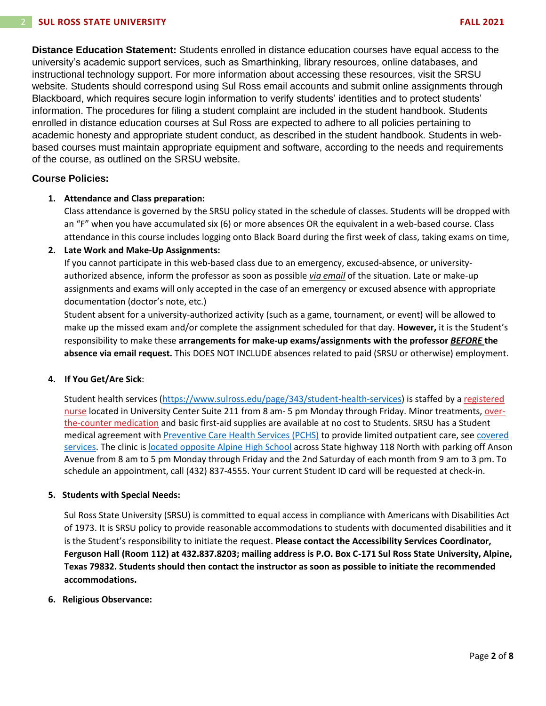**Distance Education Statement:** Students enrolled in distance education courses have equal access to the university's academic support services, such as Smarthinking, library resources, online databases, and instructional technology support. For more information about accessing these resources, visit the SRSU website. Students should correspond using Sul Ross email accounts and submit online assignments through Blackboard, which requires secure login information to verify students' identities and to protect students' information. The procedures for filing a student complaint are included in the student handbook. Students enrolled in distance education courses at Sul Ross are expected to adhere to all policies pertaining to academic honesty and appropriate student conduct, as described in the student handbook. Students in webbased courses must maintain appropriate equipment and software, according to the needs and requirements of the course, as outlined on the SRSU website.

# **Course Policies:**

# **1. Attendance and Class preparation:**

Class attendance is governed by the SRSU policy stated in the schedule of classes. Students will be dropped with an "F" when you have accumulated six (6) or more absences OR the equivalent in a web-based course. Class attendance in this course includes logging onto Black Board during the first week of class, taking exams on time,

# **2. Late Work and Make-Up Assignments:**

If you cannot participate in this web-based class due to an emergency, excused-absence, or universityauthorized absence, inform the professor as soon as possible *via email* of the situation. Late or make-up assignments and exams will only accepted in the case of an emergency or excused absence with appropriate documentation (doctor's note, etc.)

Student absent for a university-authorized activity (such as a game, tournament, or event) will be allowed to make up the missed exam and/or complete the assignment scheduled for that day. **However,** it is the Student's responsibility to make these **arrangements for make-up exams/assignments with the professor** *BEFORE* **the absence via email request.** This DOES NOT INCLUDE absences related to paid (SRSU or otherwise) employment.

# **4. If You Get/Are Sick**:

Student health services [\(https://www.sulross.edu/page/343/student-health-services\)](https://www.sulross.edu/page/343/student-health-services) is staffed by a [registered](https://www.sulross.edu/faculty-and-staff/945/health-services-coordinator)  [nurse](https://www.sulross.edu/faculty-and-staff/945/health-services-coordinator) located in University Center Suite 211 from 8 am- 5 pm Monday through Friday. Minor treatments, [over](http://www.sulross.edu/page/1462/medications)[the-counter medication](http://www.sulross.edu/page/1462/medications) and basic first-aid supplies are available at no cost to Students. SRSU has a Student medical agreement with [Preventive Care Health Services \(PCHS\)](http://www.pchsmedclinic.org/locations) to provide limited outpatient care, see covered [services.](http://www.sulross.edu/page/1471/preventive-care-health-services) The clinic is [located opposite Alpine High School](http://www.sulross.edu/gallery-image/4341/health-service-locations) across State highway 118 North with parking off Anson Avenue from 8 am to 5 pm Monday through Friday and the 2nd Saturday of each month from 9 am to 3 pm. To schedule an appointment, call (432) 837-4555. Your current Student ID card will be requested at check-in.

# **5. Students with Special Needs:**

Sul Ross State University (SRSU) is committed to equal access in compliance with Americans with Disabilities Act of 1973. It is SRSU policy to provide reasonable accommodations to students with documented disabilities and it is the Student's responsibility to initiate the request. **Please contact the Accessibility Services Coordinator, Ferguson Hall (Room 112) at 432.837.8203; mailing address is P.O. Box C-171 Sul Ross State University, Alpine, Texas 79832. Students should then contact the instructor as soon as possible to initiate the recommended accommodations.**

# **6. Religious Observance:**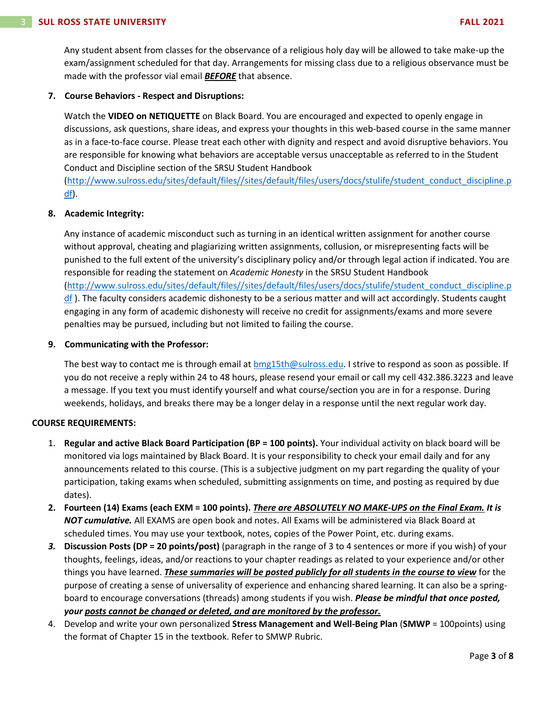Any student absent from classes for the observance of a religious holy day will be allowed to take make-up the exam/assignment scheduled for that day. Arrangements for missing class due to a religious observance must be made with the professor vial email *BEFORE* that absence.

# **7. Course Behaviors - Respect and Disruptions:**

Watch the **VIDEO on NETIQUETTE** on Black Board. You are encouraged and expected to openly engage in discussions, ask questions, share ideas, and express your thoughts in this web-based course in the same manner as in a face-to-face course. Please treat each other with dignity and respect and avoid disruptive behaviors. You are responsible for knowing what behaviors are acceptable versus unacceptable as referred to in the Student Conduct and Discipline section of the SRSU Student Handbook

[\(http://www.sulross.edu/sites/default/files//sites/default/files/users/docs/stulife/student\\_conduct\\_discipline.p](http://www.sulross.edu/sites/default/files/sites/default/files/users/docs/stulife/student_conduct_discipline.pdf) [df\)](http://www.sulross.edu/sites/default/files/sites/default/files/users/docs/stulife/student_conduct_discipline.pdf).

# **8. Academic Integrity:**

Any instance of academic misconduct such as turning in an identical written assignment for another course without approval, cheating and plagiarizing written assignments, collusion, or misrepresenting facts will be punished to the full extent of the university's disciplinary policy and/or through legal action if indicated. You are responsible for reading the statement on *Academic Honesty* in the SRSU Student Handbook [\(http://www.sulross.edu/sites/default/files//sites/default/files/users/docs/stulife/student\\_conduct\\_discipline.p](http://www.sulross.edu/sites/default/files/sites/default/files/users/docs/stulife/student_conduct_discipline.pdf)  $df$ ). The faculty considers academic dishonesty to be a serious matter and will act accordingly. Students caught engaging in any form of academic dishonesty will receive no credit for assignments/exams and more severe penalties may be pursued, including but not limited to failing the course.

# **9. Communicating with the Professor:**

The best way to contact me is through email at [bmg15th@sulross.edu.](mailto:bmg15th@sulross.edu) I strive to respond as soon as possible. If you do not receive a reply within 24 to 48 hours, please resend your email or call my cell 432.386.3223 and leave a message. If you text you must identify yourself and what course/section you are in for a response. During weekends, holidays, and breaks there may be a longer delay in a response until the next regular work day.

# **COURSE REQUIREMENTS:**

- 1. **Regular and active Black Board Participation (BP = 100 points).** Your individual activity on black board will be monitored via logs maintained by Black Board. It is your responsibility to check your email daily and for any announcements related to this course. (This is a subjective judgment on my part regarding the quality of your participation, taking exams when scheduled, submitting assignments on time, and posting as required by due dates).
- **2. Fourteen (14) Exams (each EXM = 100 points).** *There are ABSOLUTELY NO MAKE-UPS on the Final Exam. It is NOT cumulative.* All EXAMS are open book and notes. All Exams will be administered via Black Board at scheduled times. You may use your textbook, notes, copies of the Power Point, etc. during exams.
- *3.* **Discussion Posts (DP = 20 points/post)** (paragraph in the range of 3 to 4 sentences or more if you wish) of your thoughts, feelings, ideas, and/or reactions to your chapter readings as related to your experience and/or other things you have learned. *These summaries will be posted publicly for all students in the course to view* for the purpose of creating a sense of universality of experience and enhancing shared learning. It can also be a springboard to encourage conversations (threads) among students if you wish. *Please be mindful that once posted, your posts cannot be changed or deleted, and are monitored by the professor.*
- 4. Develop and write your own personalized **Stress Management and Well-Being Plan** (**SMWP** = 100points) using the format of Chapter 15 in the textbook. Refer to SMWP Rubric.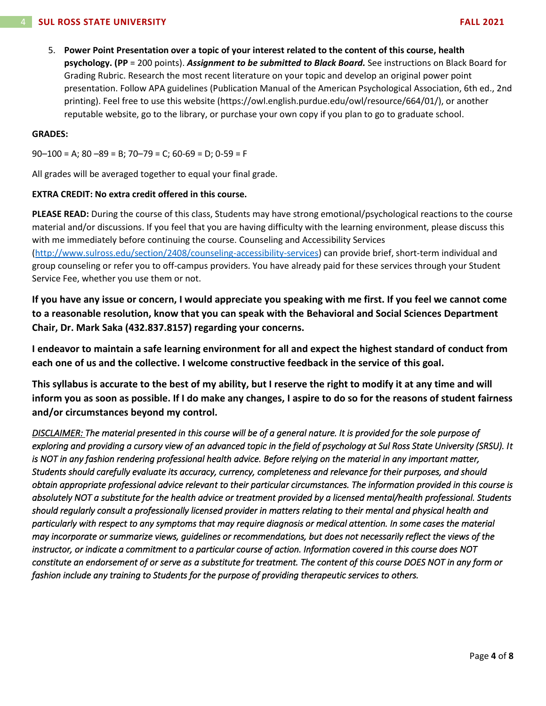5. **Power Point Presentation over a topic of your interest related to the content of this course, health psychology. (PP** = 200 points). *Assignment to be submitted to Black Board.* See instructions on Black Board for Grading Rubric. Research the most recent literature on your topic and develop an original power point presentation. Follow APA guidelines (Publication Manual of the American Psychological Association, 6th ed., 2nd printing). Feel free to use this website (https://owl.english.purdue.edu/owl/resource/664/01/), or another reputable website, go to the library, or purchase your own copy if you plan to go to graduate school.

### **GRADES:**

 $90-100 = A$ ;  $80-89 = B$ ;  $70-79 = C$ ;  $60-69 = D$ ;  $0-59 = F$ 

All grades will be averaged together to equal your final grade.

# **EXTRA CREDIT: No extra credit offered in this course.**

**PLEASE READ:** During the course of this class, Students may have strong emotional/psychological reactions to the course material and/or discussions. If you feel that you are having difficulty with the learning environment, please discuss this with me immediately before continuing the course. Counseling and Accessibility Services [\(http://www.sulross.edu/section/2408/counseling-accessibility-services\)](http://www.sulross.edu/section/2408/counseling-accessibility-services) can provide brief, short-term individual and group counseling or refer you to off-campus providers. You have already paid for these services through your Student Service Fee, whether you use them or not.

**If you have any issue or concern, I would appreciate you speaking with me first. If you feel we cannot come to a reasonable resolution, know that you can speak with the Behavioral and Social Sciences Department Chair, Dr. Mark Saka (432.837.8157) regarding your concerns.**

**I endeavor to maintain a safe learning environment for all and expect the highest standard of conduct from each one of us and the collective. I welcome constructive feedback in the service of this goal.**

**This syllabus is accurate to the best of my ability, but I reserve the right to modify it at any time and will inform you as soon as possible. If I do make any changes, I aspire to do so for the reasons of student fairness and/or circumstances beyond my control.**

*DISCLAIMER: The material presented in this course will be of a general nature. It is provided for the sole purpose of exploring and providing a cursory view of an advanced topic in the field of psychology at Sul Ross State University (SRSU). It*  is NOT in any fashion rendering professional health advice. Before relying on the material in any important matter, *Students should carefully evaluate its accuracy, currency, completeness and relevance for their purposes, and should obtain appropriate professional advice relevant to their particular circumstances. The information provided in this course is absolutely NOT a substitute for the health advice or treatment provided by a licensed mental/health professional. Students should regularly consult a professionally licensed provider in matters relating to their mental and physical health and particularly with respect to any symptoms that may require diagnosis or medical attention. In some cases the material may incorporate or summarize views, guidelines or recommendations, but does not necessarily reflect the views of the instructor, or indicate a commitment to a particular course of action. Information covered in this course does NOT constitute an endorsement of or serve as a substitute for treatment. The content of this course DOES NOT in any form or fashion include any training to Students for the purpose of providing therapeutic services to others.*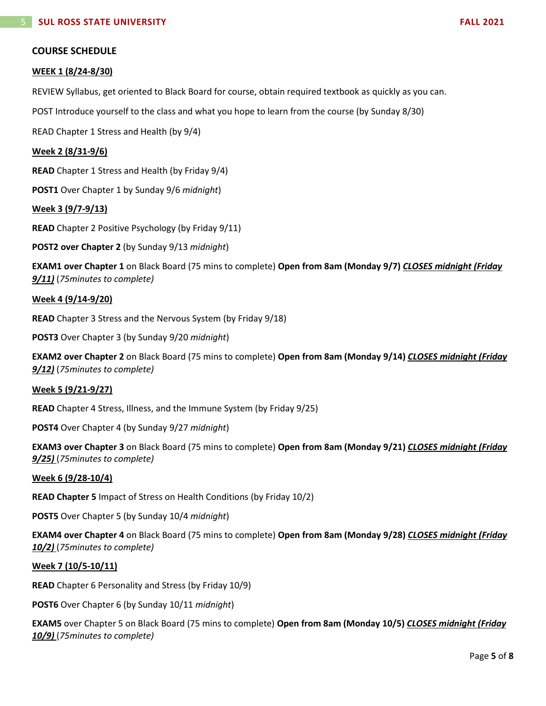# **COURSE SCHEDULE**

### **WEEK 1 (8/24-8/30)**

REVIEW Syllabus, get oriented to Black Board for course, obtain required textbook as quickly as you can.

POST Introduce yourself to the class and what you hope to learn from the course (by Sunday 8/30)

READ Chapter 1 Stress and Health (by 9/4)

### **Week 2 (8/31-9/6)**

**READ** Chapter 1 Stress and Health (by Friday 9/4)

**POST1** Over Chapter 1 by Sunday 9/6 *midnight*)

### **Week 3 (9/7-9/13)**

**READ** Chapter 2 Positive Psychology (by Friday 9/11)

**POST2 over Chapter 2** (by Sunday 9/13 *midnight*)

**EXAM1 over Chapter 1** on Black Board (75 mins to complete) **Open from 8am (Monday 9/7)** *CLOSES midnight (Friday 9/11)* (*75minutes to complete)*

### **Week 4 (9/14-9/20)**

**READ** Chapter 3 Stress and the Nervous System (by Friday 9/18)

**POST3** Over Chapter 3 (by Sunday 9/20 *midnight*)

**EXAM2 over Chapter 2** on Black Board (75 mins to complete) **Open from 8am (Monday 9/14)** *CLOSES midnight (Friday 9/12)* (*75minutes to complete)*

# **Week 5 (9/21-9/27)**

**READ** Chapter 4 Stress, Illness, and the Immune System (by Friday 9/25)

**POST4** Over Chapter 4 (by Sunday 9/27 *midnight*)

**EXAM3 over Chapter 3** on Black Board (75 mins to complete) **Open from 8am (Monday 9/21)** *CLOSES midnight (Friday 9/25)* (*75minutes to complete)*

#### **Week 6 (9/28-10/4)**

**READ Chapter 5** Impact of Stress on Health Conditions (by Friday 10/2)

**POST5** Over Chapter 5 (by Sunday 10/4 *midnight*)

**EXAM4 over Chapter 4** on Black Board (75 mins to complete) **Open from 8am (Monday 9/28)** *CLOSES midnight (Friday 10/2)* (*75minutes to complete)*

#### **Week 7 (10/5-10/11)**

**READ** Chapter 6 Personality and Stress (by Friday 10/9)

**POST6** Over Chapter 6 (by Sunday 10/11 *midnight*)

**EXAM5** over Chapter 5 on Black Board (75 mins to complete) **Open from 8am (Monday 10/5)** *CLOSES midnight (Friday 10/9)* (*75minutes to complete)*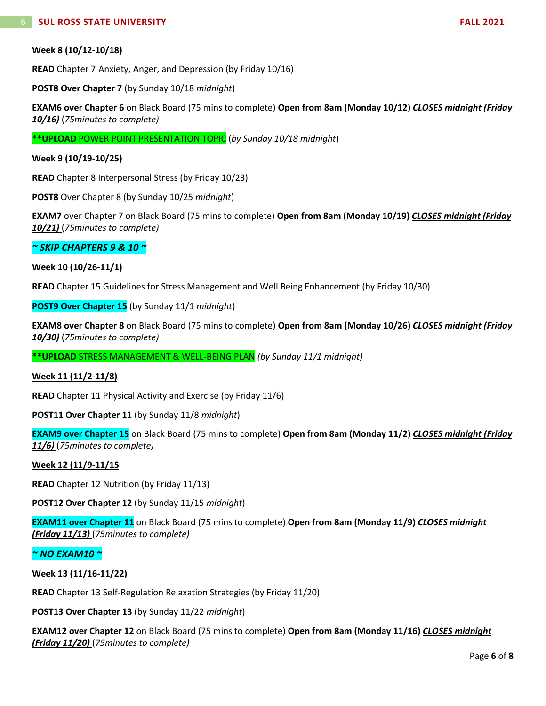# **Week 8 (10/12-10/18)**

**READ** Chapter 7 Anxiety, Anger, and Depression (by Friday 10/16)

**POST8 Over Chapter 7** (by Sunday 10/18 *midnight*)

**EXAM6 over Chapter 6** on Black Board (75 mins to complete) **Open from 8am (Monday 10/12)** *CLOSES midnight (Friday 10/16)* (*75minutes to complete)*

**\*\*UPLOAD** POWER POINT PRESENTATION TOPIC (*by Sunday 10/18 midnight*)

### **Week 9 (10/19-10/25)**

**READ** Chapter 8 Interpersonal Stress (by Friday 10/23)

**POST8** Over Chapter 8 (by Sunday 10/25 *midnight*)

**EXAM7** over Chapter 7 on Black Board (75 mins to complete) **Open from 8am (Monday 10/19)** *CLOSES midnight (Friday 10/21)* (*75minutes to complete)*

# *~ SKIP CHAPTERS 9 & 10 ~*

### **Week 10 (10/26-11/1)**

**READ** Chapter 15 Guidelines for Stress Management and Well Being Enhancement (by Friday 10/30)

**POST9 Over Chapter 15** (by Sunday 11/1 *midnight*)

**EXAM8 over Chapter 8** on Black Board (75 mins to complete) **Open from 8am (Monday 10/26)** *CLOSES midnight (Friday 10/30)* (*75minutes to complete)*

**\*\*UPLOAD** STRESS MANAGEMENT & WELL-BEING PLAN *(by Sunday 11/1 midnight)*

#### **Week 11 (11/2-11/8)**

**READ** Chapter 11 Physical Activity and Exercise (by Friday 11/6)

**POST11 Over Chapter 11** (by Sunday 11/8 *midnight*)

**EXAM9 over Chapter 15** on Black Board (75 mins to complete) **Open from 8am (Monday 11/2)** *CLOSES midnight (Friday 11/6)* (*75minutes to complete)*

#### **Week 12 (11/9-11/15**

**READ** Chapter 12 Nutrition (by Friday 11/13)

**POST12 Over Chapter 12** (by Sunday 11/15 *midnight*)

**EXAM11 over Chapter 11** on Black Board (75 mins to complete) **Open from 8am (Monday 11/9)** *CLOSES midnight (Friday 11/13)* (*75minutes to complete)*

# *~ NO EXAM10 ~*

# **Week 13 (11/16-11/22)**

**READ** Chapter 13 Self-Regulation Relaxation Strategies (by Friday 11/20)

**POST13 Over Chapter 13** (by Sunday 11/22 *midnight*)

**EXAM12 over Chapter 12** on Black Board (75 mins to complete) **Open from 8am (Monday 11/16)** *CLOSES midnight (Friday 11/20)* (*75minutes to complete)*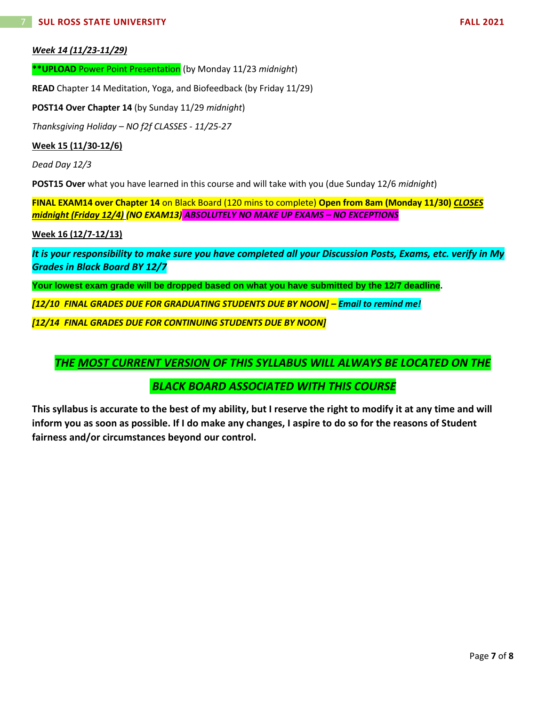# *Week 14 (11/23-11/29)*

**\*\*UPLOAD** Power Point Presentation (by Monday 11/23 *midnight*)

**READ** Chapter 14 Meditation, Yoga, and Biofeedback (by Friday 11/29)

**POST14 Over Chapter 14** (by Sunday 11/29 *midnight*)

*Thanksgiving Holiday – NO f2f CLASSES - 11/25-27*

**Week 15 (11/30-12/6)**

*Dead Day 12/3*

**POST15 Over** what you have learned in this course and will take with you (due Sunday 12/6 *midnight*)

**FINAL EXAM14 over Chapter 14** on Black Board (120 mins to complete) **Open from 8am (Monday 11/30)** *CLOSES midnight (Friday 12/4) (NO EXAM13) ABSOLUTELY NO MAKE UP EXAMS – NO EXCEPTIONS*

**Week 16 (12/7-12/13)**

*It is your responsibility to make sure you have completed all your Discussion Posts, Exams, etc. verify in My Grades in Black Board BY 12/7*

**Your lowest exam grade will be dropped based on what you have submitted by the 12/7 deadline.**

*[12/10 FINAL GRADES DUE FOR GRADUATING STUDENTS DUE BY NOON] – Email to remind me!*

*[12/14 FINAL GRADES DUE FOR CONTINUING STUDENTS DUE BY NOON]*

*THE MOST CURRENT VERSION OF THIS SYLLABUS WILL ALWAYS BE LOCATED ON THE*

*BLACK BOARD ASSOCIATED WITH THIS COURSE*

**This syllabus is accurate to the best of my ability, but I reserve the right to modify it at any time and will inform you as soon as possible. If I do make any changes, I aspire to do so for the reasons of Student fairness and/or circumstances beyond our control.**